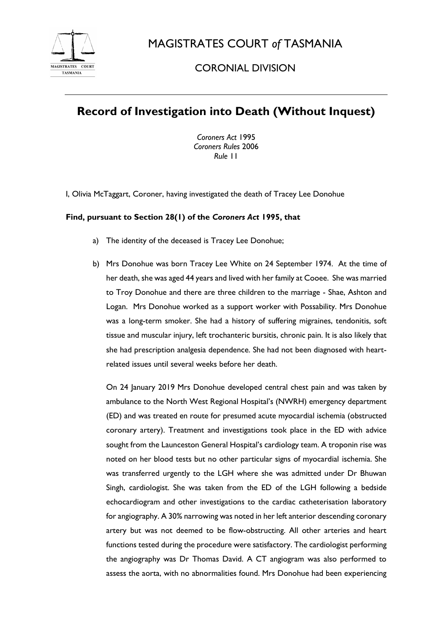

MAGISTRATES COURT *of* TASMANIA

## CORONIAL DIVISION

## **Record of Investigation into Death (Without Inquest)**

*Coroners Act* 1995 *Coroners Rules* 2006 *Rule* 11

I, Olivia McTaggart, Coroner, having investigated the death of Tracey Lee Donohue

## **Find, pursuant to Section 28(1) of the** *Coroners Act* **1995, that**

- a) The identity of the deceased is Tracey Lee Donohue;
- b) Mrs Donohue was born Tracey Lee White on 24 September 1974. At the time of her death, she was aged 44 years and lived with her family at Cooee. She was married to Troy Donohue and there are three children to the marriage - Shae, Ashton and Logan. Mrs Donohue worked as a support worker with Possability. Mrs Donohue was a long-term smoker. She had a history of suffering migraines, tendonitis, soft tissue and muscular injury, left trochanteric bursitis, chronic pain. It is also likely that she had prescription analgesia dependence. She had not been diagnosed with heartrelated issues until several weeks before her death.

On 24 January 2019 Mrs Donohue developed central chest pain and was taken by ambulance to the North West Regional Hospital's (NWRH) emergency department (ED) and was treated en route for presumed acute myocardial ischemia (obstructed coronary artery). Treatment and investigations took place in the ED with advice sought from the Launceston General Hospital's cardiology team. A troponin rise was noted on her blood tests but no other particular signs of myocardial ischemia. She was transferred urgently to the LGH where she was admitted under Dr Bhuwan Singh, cardiologist. She was taken from the ED of the LGH following a bedside echocardiogram and other investigations to the cardiac catheterisation laboratory for angiography. A 30% narrowing was noted in her left anterior descending coronary artery but was not deemed to be flow-obstructing. All other arteries and heart functions tested during the procedure were satisfactory. The cardiologist performing the angiography was Dr Thomas David. A CT angiogram was also performed to assess the aorta, with no abnormalities found. Mrs Donohue had been experiencing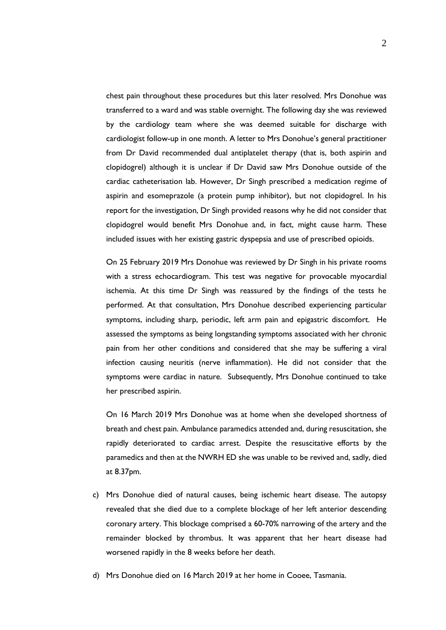chest pain throughout these procedures but this later resolved. Mrs Donohue was transferred to a ward and was stable overnight. The following day she was reviewed by the cardiology team where she was deemed suitable for discharge with cardiologist follow-up in one month. A letter to Mrs Donohue's general practitioner from Dr David recommended dual antiplatelet therapy (that is, both aspirin and clopidogrel) although it is unclear if Dr David saw Mrs Donohue outside of the cardiac catheterisation lab. However, Dr Singh prescribed a medication regime of aspirin and esomeprazole (a protein pump inhibitor), but not clopidogrel. In his report for the investigation, Dr Singh provided reasons why he did not consider that clopidogrel would benefit Mrs Donohue and, in fact, might cause harm. These included issues with her existing gastric dyspepsia and use of prescribed opioids.

On 25 February 2019 Mrs Donohue was reviewed by Dr Singh in his private rooms with a stress echocardiogram. This test was negative for provocable myocardial ischemia. At this time Dr Singh was reassured by the findings of the tests he performed. At that consultation, Mrs Donohue described experiencing particular symptoms, including sharp, periodic, left arm pain and epigastric discomfort. He assessed the symptoms as being longstanding symptoms associated with her chronic pain from her other conditions and considered that she may be suffering a viral infection causing neuritis (nerve inflammation). He did not consider that the symptoms were cardiac in nature. Subsequently, Mrs Donohue continued to take her prescribed aspirin.

On 16 March 2019 Mrs Donohue was at home when she developed shortness of breath and chest pain. Ambulance paramedics attended and, during resuscitation, she rapidly deteriorated to cardiac arrest. Despite the resuscitative efforts by the paramedics and then at the NWRH ED she was unable to be revived and, sadly, died at 8.37pm.

- c) Mrs Donohue died of natural causes, being ischemic heart disease. The autopsy revealed that she died due to a complete blockage of her left anterior descending coronary artery. This blockage comprised a 60-70% narrowing of the artery and the remainder blocked by thrombus. It was apparent that her heart disease had worsened rapidly in the 8 weeks before her death.
- d) Mrs Donohue died on 16 March 2019 at her home in Cooee, Tasmania.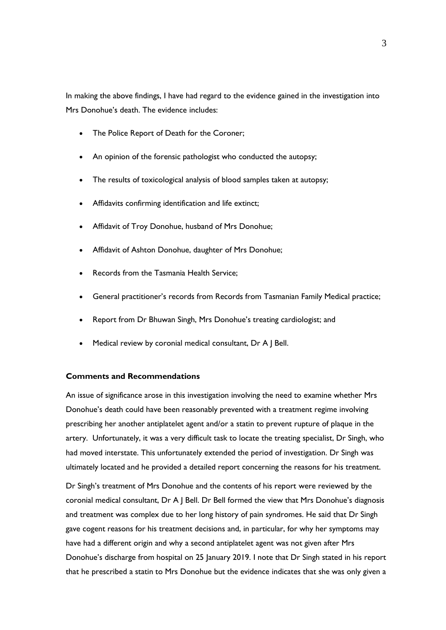In making the above findings, I have had regard to the evidence gained in the investigation into Mrs Donohue's death. The evidence includes:

- The Police Report of Death for the Coroner;
- An opinion of the forensic pathologist who conducted the autopsy;
- The results of toxicological analysis of blood samples taken at autopsy;
- Affidavits confirming identification and life extinct;
- Affidavit of Troy Donohue, husband of Mrs Donohue;
- Affidavit of Ashton Donohue, daughter of Mrs Donohue;
- Records from the Tasmania Health Service;
- General practitioner's records from Records from Tasmanian Family Medical practice;
- Report from Dr Bhuwan Singh, Mrs Donohue's treating cardiologist; and
- Medical review by coronial medical consultant, Dr A J Bell.

## **Comments and Recommendations**

An issue of significance arose in this investigation involving the need to examine whether Mrs Donohue's death could have been reasonably prevented with a treatment regime involving prescribing her another antiplatelet agent and/or a statin to prevent rupture of plaque in the artery. Unfortunately, it was a very difficult task to locate the treating specialist, Dr Singh, who had moved interstate. This unfortunately extended the period of investigation. Dr Singh was ultimately located and he provided a detailed report concerning the reasons for his treatment.

Dr Singh's treatment of Mrs Donohue and the contents of his report were reviewed by the coronial medical consultant, Dr A J Bell. Dr Bell formed the view that Mrs Donohue's diagnosis and treatment was complex due to her long history of pain syndromes. He said that Dr Singh gave cogent reasons for his treatment decisions and, in particular, for why her symptoms may have had a different origin and why a second antiplatelet agent was not given after Mrs Donohue's discharge from hospital on 25 January 2019. I note that Dr Singh stated in his report that he prescribed a statin to Mrs Donohue but the evidence indicates that she was only given a